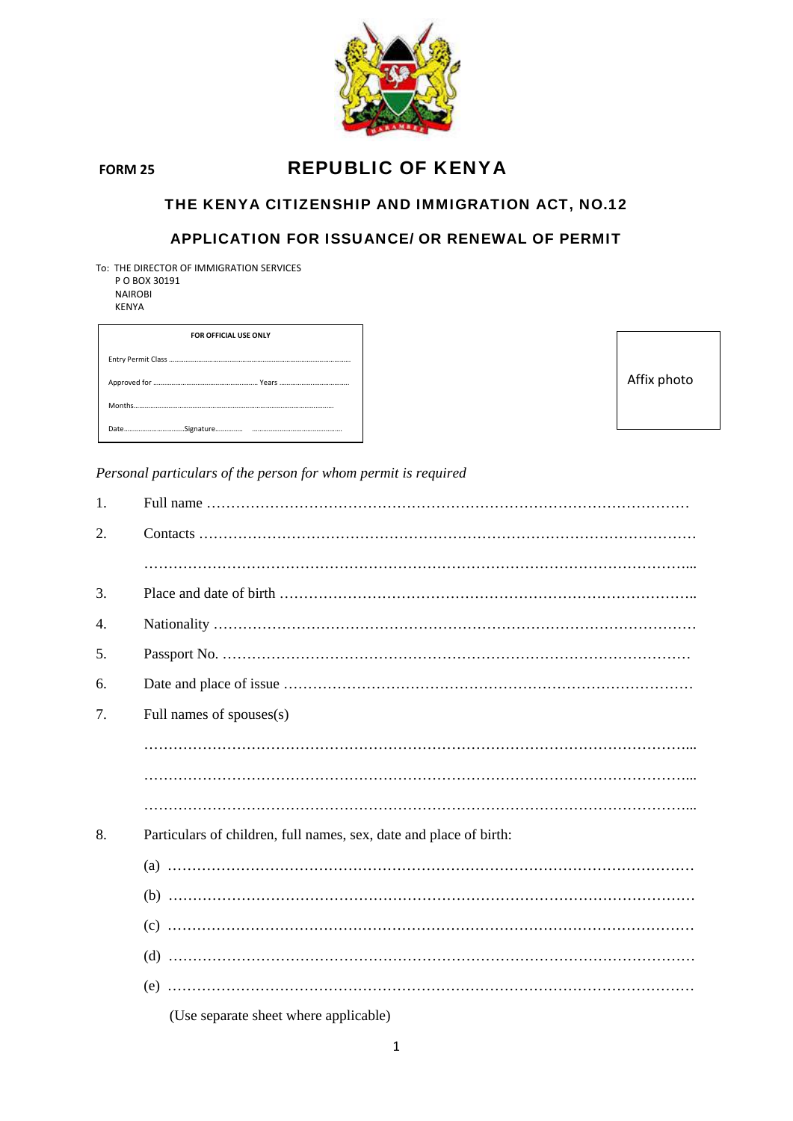

## **FORM 25 REPUBLIC OF KENYA**

# [THE KENYA CITIZENSHIP AND IMMIGRATION ACT, NO.12](https://zavizoi.ru/vizy/v-keniyu.html)

### APPLICATION FOR ISSUANCE/ OR RENEWAL OF PERMIT

To: THE DIRECTOR OF IMMIGRATION SERVICES P O BOX 30191 NAIROBI KENYA

| FOR OFFICIAL USE ONLY |
|-----------------------|
|                       |
|                       |
|                       |
|                       |

Affix photo

*Personal particulars of the person for whom permit is required* 

| 1. |                                                                    |
|----|--------------------------------------------------------------------|
| 2. |                                                                    |
|    |                                                                    |
| 3. |                                                                    |
| 4. |                                                                    |
| 5. |                                                                    |
| 6. |                                                                    |
| 7. | Full names of spouses(s)                                           |
|    |                                                                    |
|    |                                                                    |
|    |                                                                    |
| 8. | Particulars of children, full names, sex, date and place of birth: |
|    |                                                                    |
|    |                                                                    |
|    |                                                                    |
|    |                                                                    |
|    |                                                                    |
|    | (Use separate sheet where applicable)                              |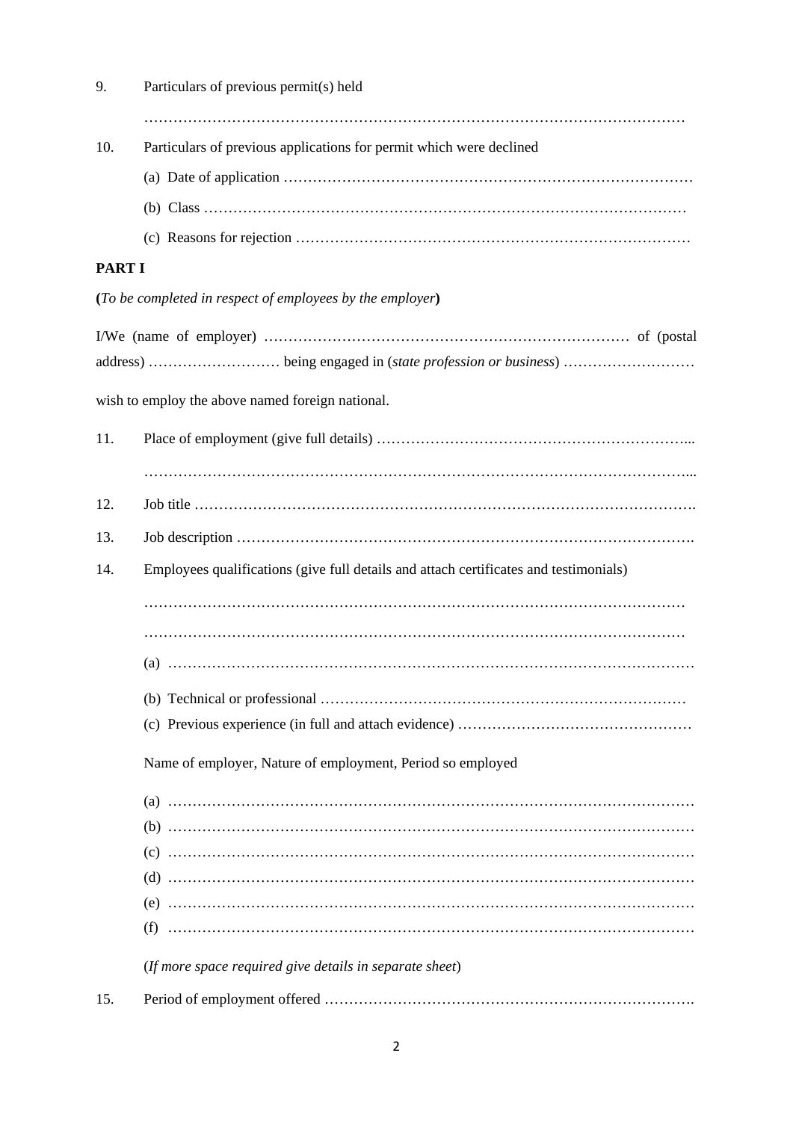| 9.            | Particulars of previous permit(s) held                                                |  |  |  |
|---------------|---------------------------------------------------------------------------------------|--|--|--|
| 10.           | Particulars of previous applications for permit which were declined                   |  |  |  |
|               |                                                                                       |  |  |  |
|               |                                                                                       |  |  |  |
|               |                                                                                       |  |  |  |
| <b>PART I</b> |                                                                                       |  |  |  |
|               | (To be completed in respect of employees by the employer)                             |  |  |  |
|               |                                                                                       |  |  |  |
|               |                                                                                       |  |  |  |
|               | wish to employ the above named foreign national.                                      |  |  |  |
| 11.           |                                                                                       |  |  |  |
|               |                                                                                       |  |  |  |
| 12.           |                                                                                       |  |  |  |
| 13.           |                                                                                       |  |  |  |
| 14.           | Employees qualifications (give full details and attach certificates and testimonials) |  |  |  |
|               |                                                                                       |  |  |  |
|               |                                                                                       |  |  |  |
|               |                                                                                       |  |  |  |
|               |                                                                                       |  |  |  |
|               |                                                                                       |  |  |  |
|               | Name of employer, Nature of employment, Period so employed                            |  |  |  |
|               |                                                                                       |  |  |  |
|               |                                                                                       |  |  |  |
|               |                                                                                       |  |  |  |
|               |                                                                                       |  |  |  |
|               |                                                                                       |  |  |  |
|               |                                                                                       |  |  |  |
|               | (If more space required give details in separate sheet)                               |  |  |  |
| 15.           |                                                                                       |  |  |  |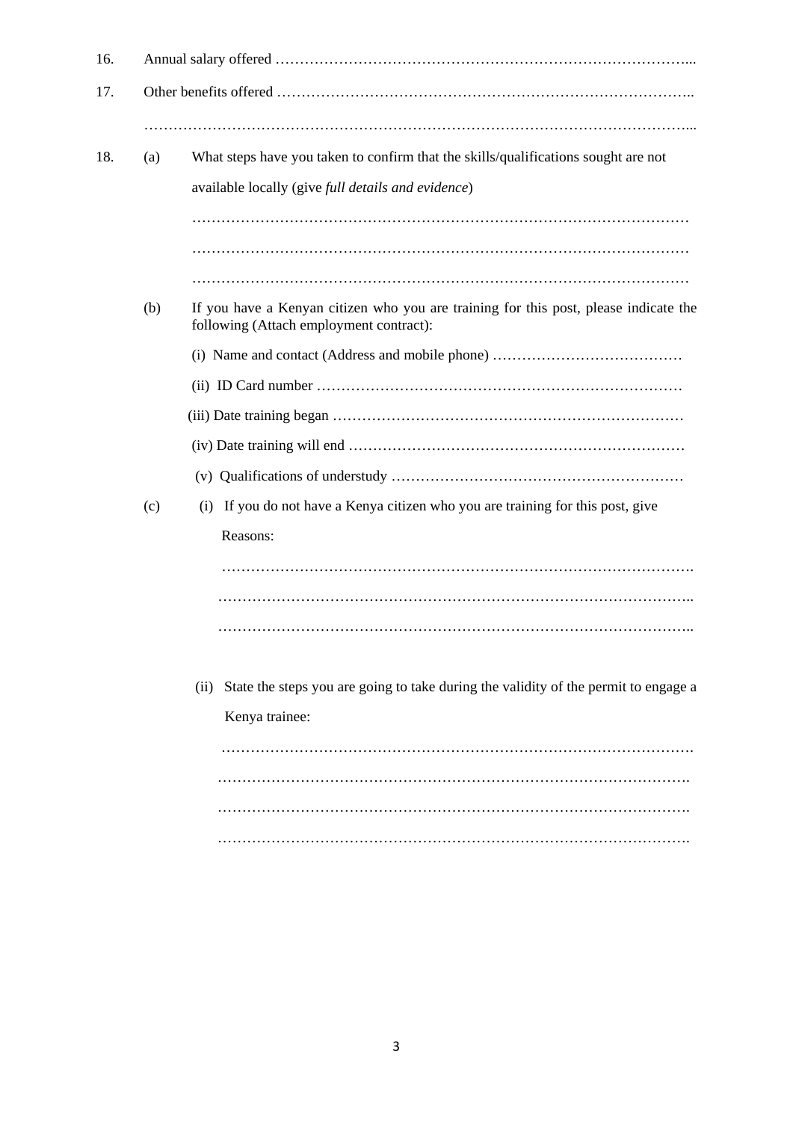| 16. |     |                                                                                                                                          |
|-----|-----|------------------------------------------------------------------------------------------------------------------------------------------|
| 17. |     |                                                                                                                                          |
| 18. | (a) | What steps have you taken to confirm that the skills/qualifications sought are not<br>available locally (give full details and evidence) |
|     |     |                                                                                                                                          |
|     | (b) | If you have a Kenyan citizen who you are training for this post, please indicate the<br>following (Attach employment contract):          |
|     |     |                                                                                                                                          |
|     |     |                                                                                                                                          |
|     |     |                                                                                                                                          |
|     |     |                                                                                                                                          |
|     | (c) | If you do not have a Kenya citizen who you are training for this post, give<br>(i)<br>Reasons:                                           |
|     |     |                                                                                                                                          |
|     |     |                                                                                                                                          |
|     |     |                                                                                                                                          |
|     |     | State the steps you are going to take during the validity of the permit to engage a<br>(ii)                                              |
|     |     | Kenya trainee:                                                                                                                           |
|     |     |                                                                                                                                          |
|     |     |                                                                                                                                          |
|     |     |                                                                                                                                          |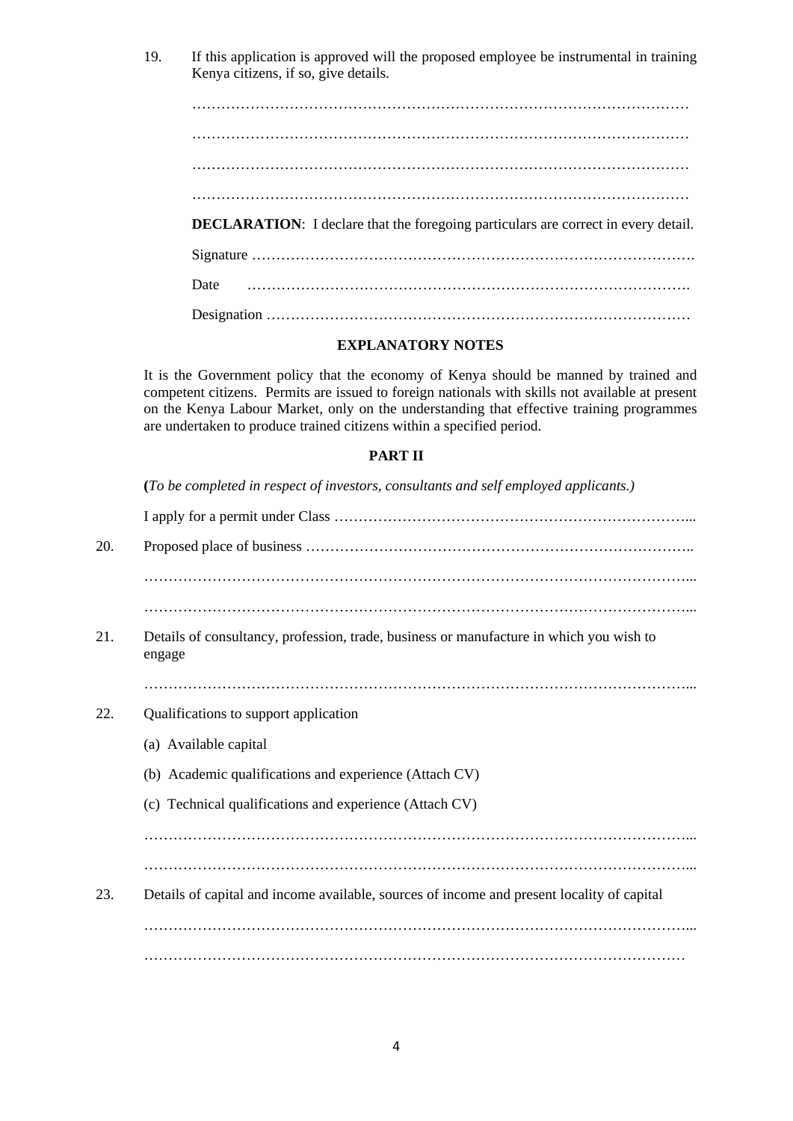19. If this application is approved will the proposed employee be instrumental in training Kenya citizens, if so, give details.

 ………………………………………………………………………………………… ………………………………………………………………………………………… ………………………………………………………………………………………… ………………………………………………………………………………………… **DECLARATION**: I declare that the foregoing particulars are correct in every detail. Signature ………………………………………………………………………………. Date ………………………………………………………………………………. Designation ……………………………………………………………………………

#### **EXPLANATORY NOTES**

 It is the Government policy that the economy of Kenya should be manned by trained and competent citizens. Permits are issued to foreign nationals with skills not available at present on the Kenya Labour Market, only on the understanding that effective training programmes are undertaken to produce trained citizens within a specified period.

#### **PART II**

 **(***To be completed in respect of investors, consultants and self employed applicants.)* 

| 20. |                                                                                                   |
|-----|---------------------------------------------------------------------------------------------------|
|     |                                                                                                   |
|     |                                                                                                   |
| 21. | Details of consultancy, profession, trade, business or manufacture in which you wish to<br>engage |
|     |                                                                                                   |
| 22. | Qualifications to support application                                                             |
|     | (a) Available capital                                                                             |
|     | (b) Academic qualifications and experience (Attach CV)                                            |
|     | (c) Technical qualifications and experience (Attach CV)                                           |
|     |                                                                                                   |
|     |                                                                                                   |
| 23. | Details of capital and income available, sources of income and present locality of capital        |
|     |                                                                                                   |
|     |                                                                                                   |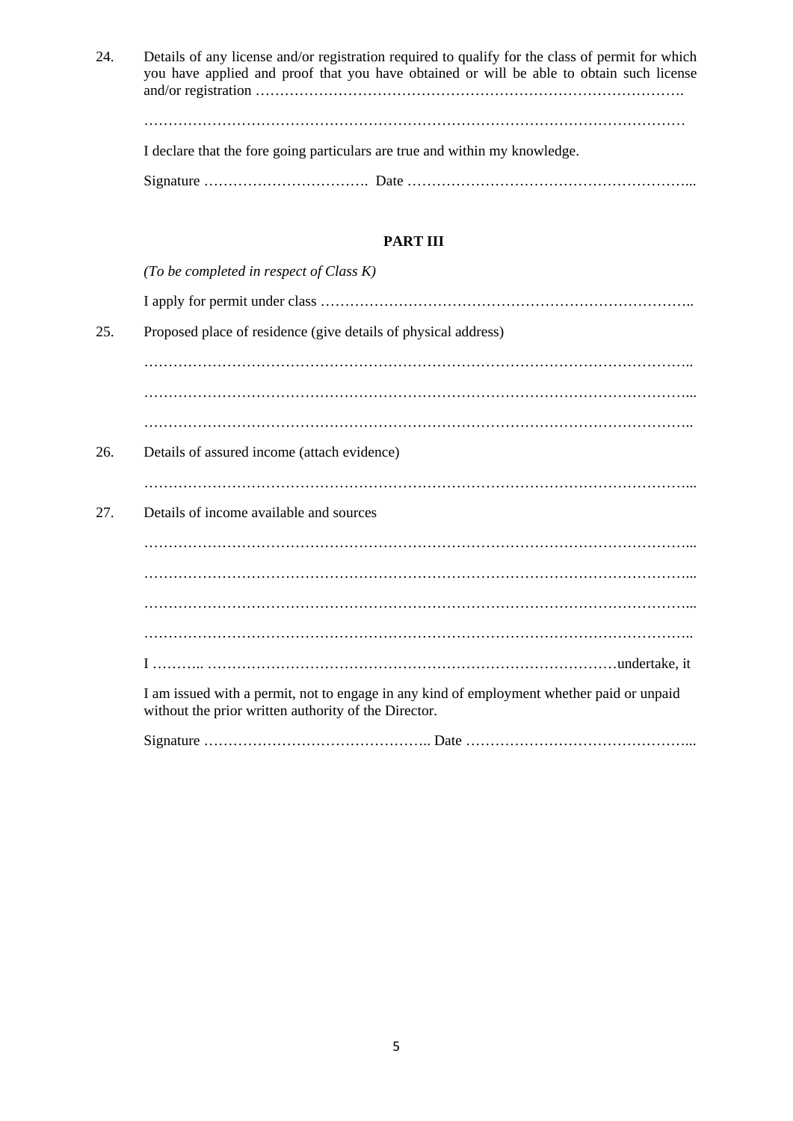24. Details of any license and/or registration required to qualify for the class of permit for which you have applied and proof that you have obtained or will be able to obtain such license and/or registration …………………………………………………………………………….

…………………………………………………………………………………………………

I declare that the fore going particulars are true and within my knowledge.

Signature ……………………………. Date …………………………………………………...

#### **PART III**

|     | (To be completed in respect of Class $K$ )                                                                                                        |
|-----|---------------------------------------------------------------------------------------------------------------------------------------------------|
|     |                                                                                                                                                   |
| 25. | Proposed place of residence (give details of physical address)                                                                                    |
|     |                                                                                                                                                   |
|     |                                                                                                                                                   |
|     |                                                                                                                                                   |
| 26. | Details of assured income (attach evidence)                                                                                                       |
|     |                                                                                                                                                   |
| 27. | Details of income available and sources                                                                                                           |
|     |                                                                                                                                                   |
|     |                                                                                                                                                   |
|     |                                                                                                                                                   |
|     |                                                                                                                                                   |
|     |                                                                                                                                                   |
|     | I am issued with a permit, not to engage in any kind of employment whether paid or unpaid<br>without the prior written authority of the Director. |
|     |                                                                                                                                                   |